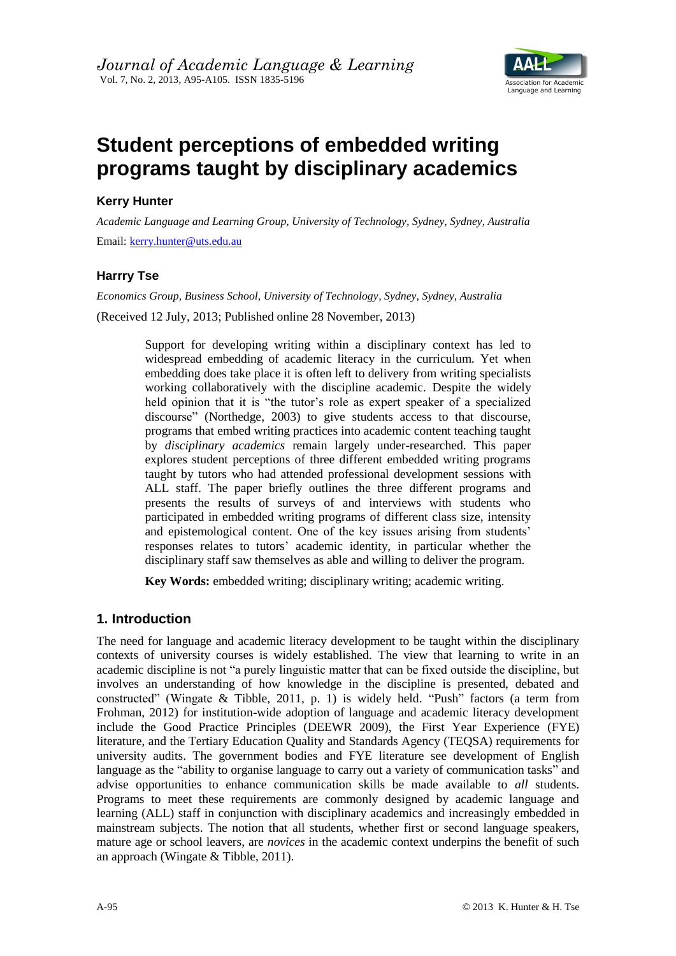

# **Student perceptions of embedded writing programs taught by disciplinary academics**

## **Kerry Hunter**

*Academic Language and Learning Group, University of Technology, Sydney, Sydney, Australia* Email: [kerry.hunter@uts.edu.au](mailto:kerry.hunter@uts.edu.au)

## **Harrry Tse**

*Economics Group, Business School, University of Technology, Sydney, Sydney, Australia*

(Received 12 July, 2013; Published online 28 November, 2013)

Support for developing writing within a disciplinary context has led to widespread embedding of academic literacy in the curriculum. Yet when embedding does take place it is often left to delivery from writing specialists working collaboratively with the discipline academic. Despite the widely held opinion that it is "the tutor's role as expert speaker of a specialized discourse" (Northedge, 2003) to give students access to that discourse, programs that embed writing practices into academic content teaching taught by *disciplinary academics* remain largely under-researched. This paper explores student perceptions of three different embedded writing programs taught by tutors who had attended professional development sessions with ALL staff. The paper briefly outlines the three different programs and presents the results of surveys of and interviews with students who participated in embedded writing programs of different class size, intensity and epistemological content. One of the key issues arising from students' responses relates to tutors" academic identity, in particular whether the disciplinary staff saw themselves as able and willing to deliver the program.

**Key Words:** embedded writing; disciplinary writing; academic writing.

# **1. Introduction**

The need for language and academic literacy development to be taught within the disciplinary contexts of university courses is widely established. The view that learning to write in an academic discipline is not "a purely linguistic matter that can be fixed outside the discipline, but involves an understanding of how knowledge in the discipline is presented, debated and constructed" (Wingate & Tibble, 2011, p. 1) is widely held. "Push" factors (a term from Frohman, 2012) for institution-wide adoption of language and academic literacy development include the Good Practice Principles (DEEWR 2009), the First Year Experience (FYE) literature, and the Tertiary Education Quality and Standards Agency (TEQSA) requirements for university audits. The government bodies and FYE literature see development of English language as the "ability to organise language to carry out a variety of communication tasks" and advise opportunities to enhance communication skills be made available to *all* students. Programs to meet these requirements are commonly designed by academic language and learning (ALL) staff in conjunction with disciplinary academics and increasingly embedded in mainstream subjects. The notion that all students, whether first or second language speakers, mature age or school leavers, are *novices* in the academic context underpins the benefit of such an approach (Wingate & Tibble, 2011).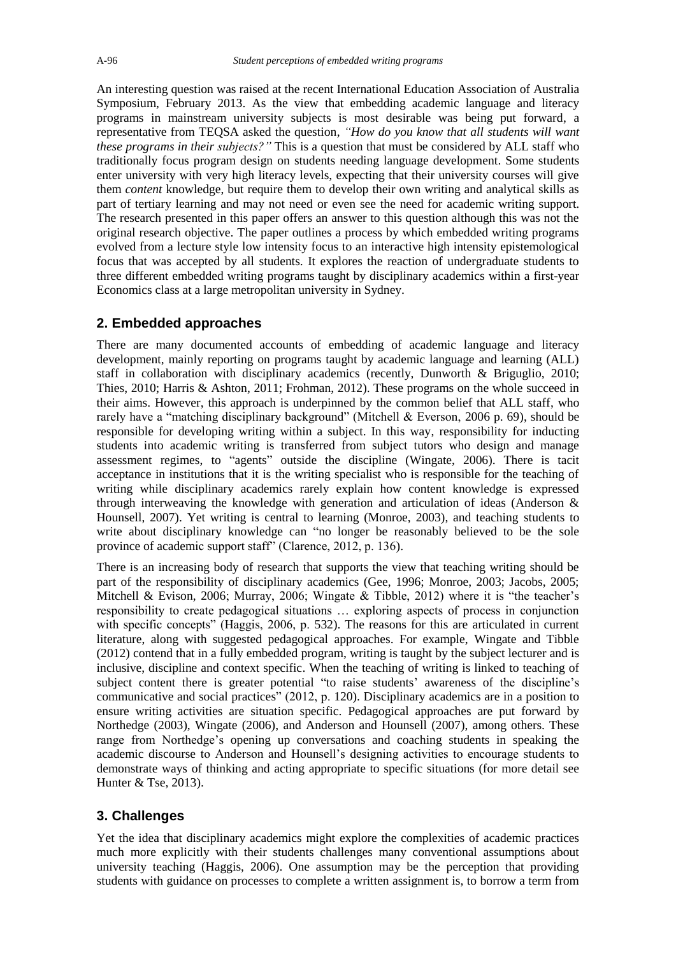An interesting question was raised at the recent International Education Association of Australia Symposium, February 2013. As the view that embedding academic language and literacy programs in mainstream university subjects is most desirable was being put forward, a representative from TEQSA asked the question, *"How do you know that all students will want these programs in their subjects?"* This is a question that must be considered by ALL staff who traditionally focus program design on students needing language development. Some students enter university with very high literacy levels, expecting that their university courses will give them *content* knowledge, but require them to develop their own writing and analytical skills as part of tertiary learning and may not need or even see the need for academic writing support. The research presented in this paper offers an answer to this question although this was not the original research objective. The paper outlines a process by which embedded writing programs evolved from a lecture style low intensity focus to an interactive high intensity epistemological focus that was accepted by all students. It explores the reaction of undergraduate students to three different embedded writing programs taught by disciplinary academics within a first-year Economics class at a large metropolitan university in Sydney.

## **2. Embedded approaches**

There are many documented accounts of embedding of academic language and literacy development, mainly reporting on programs taught by academic language and learning (ALL) staff in collaboration with disciplinary academics (recently, Dunworth & Briguglio, 2010; Thies, 2010; Harris & Ashton, 2011; Frohman, 2012). These programs on the whole succeed in their aims. However, this approach is underpinned by the common belief that ALL staff, who rarely have a "matching disciplinary background" (Mitchell & Everson, 2006 p. 69), should be responsible for developing writing within a subject. In this way, responsibility for inducting students into academic writing is transferred from subject tutors who design and manage assessment regimes, to "agents" outside the discipline (Wingate, 2006). There is tacit acceptance in institutions that it is the writing specialist who is responsible for the teaching of writing while disciplinary academics rarely explain how content knowledge is expressed through interweaving the knowledge with generation and articulation of ideas (Anderson & Hounsell, 2007). Yet writing is central to learning (Monroe, 2003), and teaching students to write about disciplinary knowledge can "no longer be reasonably believed to be the sole province of academic support staff" (Clarence, 2012, p. 136).

There is an increasing body of research that supports the view that teaching writing should be part of the responsibility of disciplinary academics (Gee, 1996; Monroe, 2003; Jacobs, 2005; Mitchell & Evison, 2006; Murray, 2006; Wingate & Tibble, 2012) where it is "the teacher's responsibility to create pedagogical situations … exploring aspects of process in conjunction with specific concepts" (Haggis, 2006, p. 532). The reasons for this are articulated in current literature, along with suggested pedagogical approaches. For example, Wingate and Tibble (2012) contend that in a fully embedded program, writing is taught by the subject lecturer and is inclusive, discipline and context specific. When the teaching of writing is linked to teaching of subject content there is greater potential "to raise students' awareness of the discipline's communicative and social practices" (2012, p. 120). Disciplinary academics are in a position to ensure writing activities are situation specific. Pedagogical approaches are put forward by Northedge (2003), Wingate (2006), and Anderson and Hounsell (2007), among others. These range from Northedge"s opening up conversations and coaching students in speaking the academic discourse to Anderson and Hounsell"s designing activities to encourage students to demonstrate ways of thinking and acting appropriate to specific situations (for more detail see Hunter & Tse, 2013).

## **3. Challenges**

Yet the idea that disciplinary academics might explore the complexities of academic practices much more explicitly with their students challenges many conventional assumptions about university teaching (Haggis, 2006). One assumption may be the perception that providing students with guidance on processes to complete a written assignment is, to borrow a term from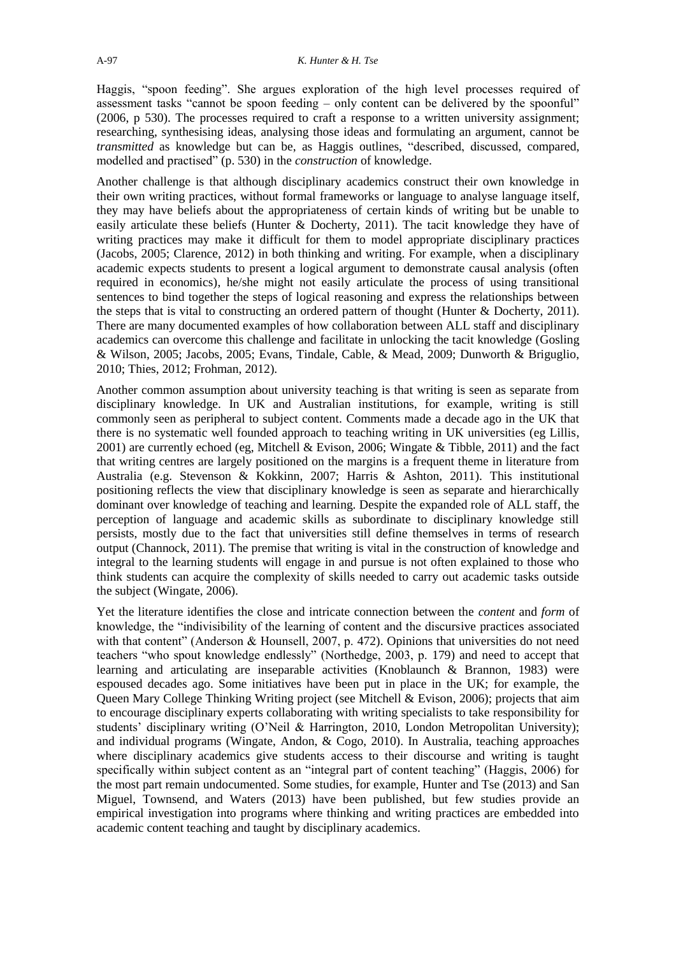Haggis, "spoon feeding". She argues exploration of the high level processes required of assessment tasks "cannot be spoon feeding – only content can be delivered by the spoonful" (2006, p 530). The processes required to craft a response to a written university assignment; researching, synthesising ideas, analysing those ideas and formulating an argument, cannot be *transmitted* as knowledge but can be, as Haggis outlines, "described, discussed, compared, modelled and practised" (p. 530) in the *construction* of knowledge.

Another challenge is that although disciplinary academics construct their own knowledge in their own writing practices, without formal frameworks or language to analyse language itself, they may have beliefs about the appropriateness of certain kinds of writing but be unable to easily articulate these beliefs (Hunter & Docherty, 2011). The tacit knowledge they have of writing practices may make it difficult for them to model appropriate disciplinary practices (Jacobs, 2005; Clarence, 2012) in both thinking and writing. For example, when a disciplinary academic expects students to present a logical argument to demonstrate causal analysis (often required in economics), he/she might not easily articulate the process of using transitional sentences to bind together the steps of logical reasoning and express the relationships between the steps that is vital to constructing an ordered pattern of thought (Hunter & Docherty, 2011). There are many documented examples of how collaboration between ALL staff and disciplinary academics can overcome this challenge and facilitate in unlocking the tacit knowledge (Gosling & Wilson, 2005; Jacobs, 2005; Evans, Tindale, Cable, & Mead, 2009; Dunworth & Briguglio, 2010; Thies, 2012; Frohman, 2012).

Another common assumption about university teaching is that writing is seen as separate from disciplinary knowledge. In UK and Australian institutions, for example, writing is still commonly seen as peripheral to subject content. Comments made a decade ago in the UK that there is no systematic well founded approach to teaching writing in UK universities (eg Lillis, 2001) are currently echoed (eg, Mitchell & Evison, 2006; Wingate & Tibble, 2011) and the fact that writing centres are largely positioned on the margins is a frequent theme in literature from Australia (e.g. Stevenson & Kokkinn, 2007; Harris & Ashton, 2011). This institutional positioning reflects the view that disciplinary knowledge is seen as separate and hierarchically dominant over knowledge of teaching and learning. Despite the expanded role of ALL staff, the perception of language and academic skills as subordinate to disciplinary knowledge still persists, mostly due to the fact that universities still define themselves in terms of research output (Channock, 2011). The premise that writing is vital in the construction of knowledge and integral to the learning students will engage in and pursue is not often explained to those who think students can acquire the complexity of skills needed to carry out academic tasks outside the subject (Wingate, 2006).

Yet the literature identifies the close and intricate connection between the *content* and *form* of knowledge, the "indivisibility of the learning of content and the discursive practices associated with that content" (Anderson & Hounsell, 2007, p. 472). Opinions that universities do not need teachers "who spout knowledge endlessly" (Northedge, 2003, p. 179) and need to accept that learning and articulating are inseparable activities (Knoblaunch & Brannon, 1983) were espoused decades ago. Some initiatives have been put in place in the UK; for example, the Queen Mary College Thinking Writing project (see Mitchell & Evison, 2006); projects that aim to encourage disciplinary experts collaborating with writing specialists to take responsibility for students' disciplinary writing (O'Neil & Harrington, 2010, London Metropolitan University); and individual programs (Wingate, Andon, & Cogo, 2010). In Australia, teaching approaches where disciplinary academics give students access to their discourse and writing is taught specifically within subject content as an "integral part of content teaching" (Haggis, 2006) for the most part remain undocumented. Some studies, for example, Hunter and Tse (2013) and San Miguel, Townsend, and Waters (2013) have been published, but few studies provide an empirical investigation into programs where thinking and writing practices are embedded into academic content teaching and taught by disciplinary academics.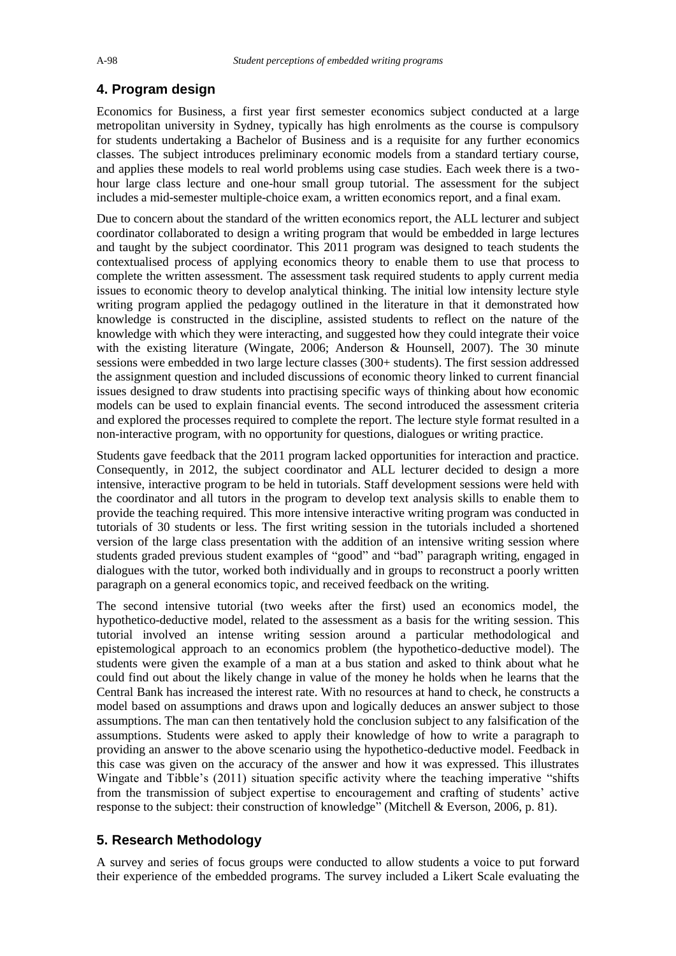## **4. Program design**

Economics for Business, a first year first semester economics subject conducted at a large metropolitan university in Sydney, typically has high enrolments as the course is compulsory for students undertaking a Bachelor of Business and is a requisite for any further economics classes. The subject introduces preliminary economic models from a standard tertiary course, and applies these models to real world problems using case studies. Each week there is a twohour large class lecture and one-hour small group tutorial. The assessment for the subject includes a mid-semester multiple-choice exam, a written economics report, and a final exam.

Due to concern about the standard of the written economics report, the ALL lecturer and subject coordinator collaborated to design a writing program that would be embedded in large lectures and taught by the subject coordinator. This 2011 program was designed to teach students the contextualised process of applying economics theory to enable them to use that process to complete the written assessment. The assessment task required students to apply current media issues to economic theory to develop analytical thinking. The initial low intensity lecture style writing program applied the pedagogy outlined in the literature in that it demonstrated how knowledge is constructed in the discipline, assisted students to reflect on the nature of the knowledge with which they were interacting, and suggested how they could integrate their voice with the existing literature (Wingate, 2006; Anderson & Hounsell, 2007). The 30 minute sessions were embedded in two large lecture classes (300+ students). The first session addressed the assignment question and included discussions of economic theory linked to current financial issues designed to draw students into practising specific ways of thinking about how economic models can be used to explain financial events. The second introduced the assessment criteria and explored the processes required to complete the report. The lecture style format resulted in a non-interactive program, with no opportunity for questions, dialogues or writing practice.

Students gave feedback that the 2011 program lacked opportunities for interaction and practice. Consequently, in 2012, the subject coordinator and ALL lecturer decided to design a more intensive, interactive program to be held in tutorials. Staff development sessions were held with the coordinator and all tutors in the program to develop text analysis skills to enable them to provide the teaching required. This more intensive interactive writing program was conducted in tutorials of 30 students or less. The first writing session in the tutorials included a shortened version of the large class presentation with the addition of an intensive writing session where students graded previous student examples of "good" and "bad" paragraph writing, engaged in dialogues with the tutor, worked both individually and in groups to reconstruct a poorly written paragraph on a general economics topic, and received feedback on the writing.

The second intensive tutorial (two weeks after the first) used an economics model, the hypothetico-deductive model, related to the assessment as a basis for the writing session. This tutorial involved an intense writing session around a particular methodological and epistemological approach to an economics problem (the hypothetico-deductive model). The students were given the example of a man at a bus station and asked to think about what he could find out about the likely change in value of the money he holds when he learns that the Central Bank has increased the interest rate. With no resources at hand to check, he constructs a model based on assumptions and draws upon and logically deduces an answer subject to those assumptions. The man can then tentatively hold the conclusion subject to any falsification of the assumptions. Students were asked to apply their knowledge of how to write a paragraph to providing an answer to the above scenario using the hypothetico-deductive model. Feedback in this case was given on the accuracy of the answer and how it was expressed. This illustrates Wingate and Tibble"s (2011) situation specific activity where the teaching imperative "shifts from the transmission of subject expertise to encouragement and crafting of students" active response to the subject: their construction of knowledge" (Mitchell & Everson, 2006, p. 81).

## **5. Research Methodology**

A survey and series of focus groups were conducted to allow students a voice to put forward their experience of the embedded programs. The survey included a Likert Scale evaluating the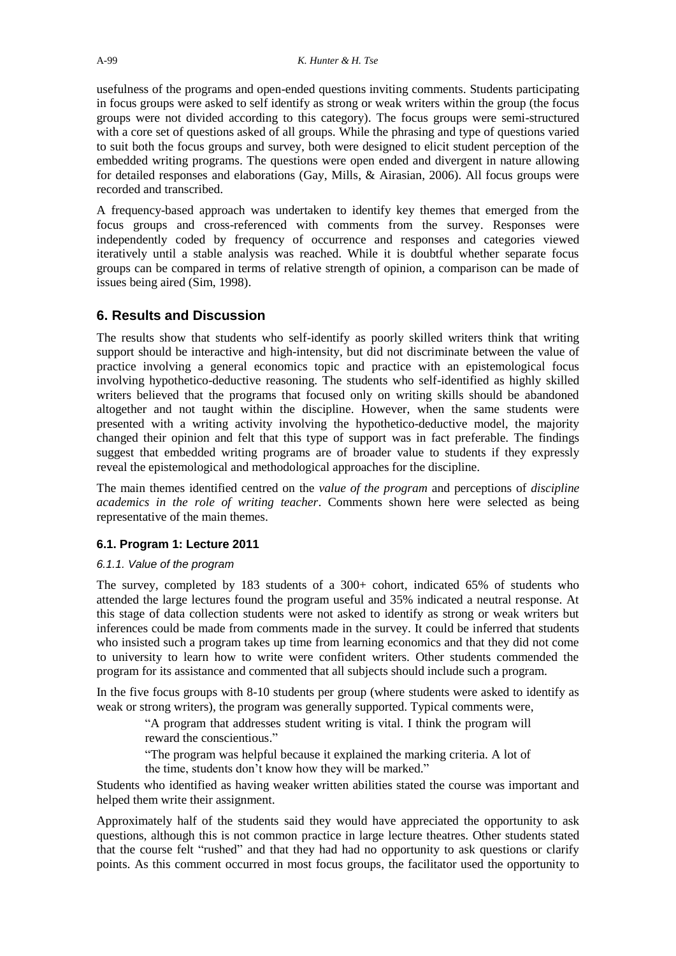usefulness of the programs and open-ended questions inviting comments. Students participating in focus groups were asked to self identify as strong or weak writers within the group (the focus groups were not divided according to this category). The focus groups were semi-structured with a core set of questions asked of all groups. While the phrasing and type of questions varied to suit both the focus groups and survey, both were designed to elicit student perception of the embedded writing programs. The questions were open ended and divergent in nature allowing for detailed responses and elaborations (Gay, Mills, & Airasian, 2006). All focus groups were recorded and transcribed.

A frequency-based approach was undertaken to identify key themes that emerged from the focus groups and cross-referenced with comments from the survey. Responses were independently coded by frequency of occurrence and responses and categories viewed iteratively until a stable analysis was reached. While it is doubtful whether separate focus groups can be compared in terms of relative strength of opinion, a comparison can be made of issues being aired (Sim, 1998).

## **6. Results and Discussion**

The results show that students who self-identify as poorly skilled writers think that writing support should be interactive and high-intensity, but did not discriminate between the value of practice involving a general economics topic and practice with an epistemological focus involving hypothetico-deductive reasoning. The students who self-identified as highly skilled writers believed that the programs that focused only on writing skills should be abandoned altogether and not taught within the discipline. However, when the same students were presented with a writing activity involving the hypothetico-deductive model, the majority changed their opinion and felt that this type of support was in fact preferable. The findings suggest that embedded writing programs are of broader value to students if they expressly reveal the epistemological and methodological approaches for the discipline.

The main themes identified centred on the *value of the program* and perceptions of *discipline academics in the role of writing teacher*. Comments shown here were selected as being representative of the main themes.

#### **6.1. Program 1: Lecture 2011**

#### *6.1.1. Value of the program*

The survey, completed by 183 students of a 300+ cohort, indicated 65% of students who attended the large lectures found the program useful and 35% indicated a neutral response. At this stage of data collection students were not asked to identify as strong or weak writers but inferences could be made from comments made in the survey. It could be inferred that students who insisted such a program takes up time from learning economics and that they did not come to university to learn how to write were confident writers. Other students commended the program for its assistance and commented that all subjects should include such a program.

In the five focus groups with 8-10 students per group (where students were asked to identify as weak or strong writers), the program was generally supported. Typical comments were,

"A program that addresses student writing is vital. I think the program will reward the conscientious."

"The program was helpful because it explained the marking criteria. A lot of the time, students don"t know how they will be marked."

Students who identified as having weaker written abilities stated the course was important and helped them write their assignment.

Approximately half of the students said they would have appreciated the opportunity to ask questions, although this is not common practice in large lecture theatres. Other students stated that the course felt "rushed" and that they had had no opportunity to ask questions or clarify points. As this comment occurred in most focus groups, the facilitator used the opportunity to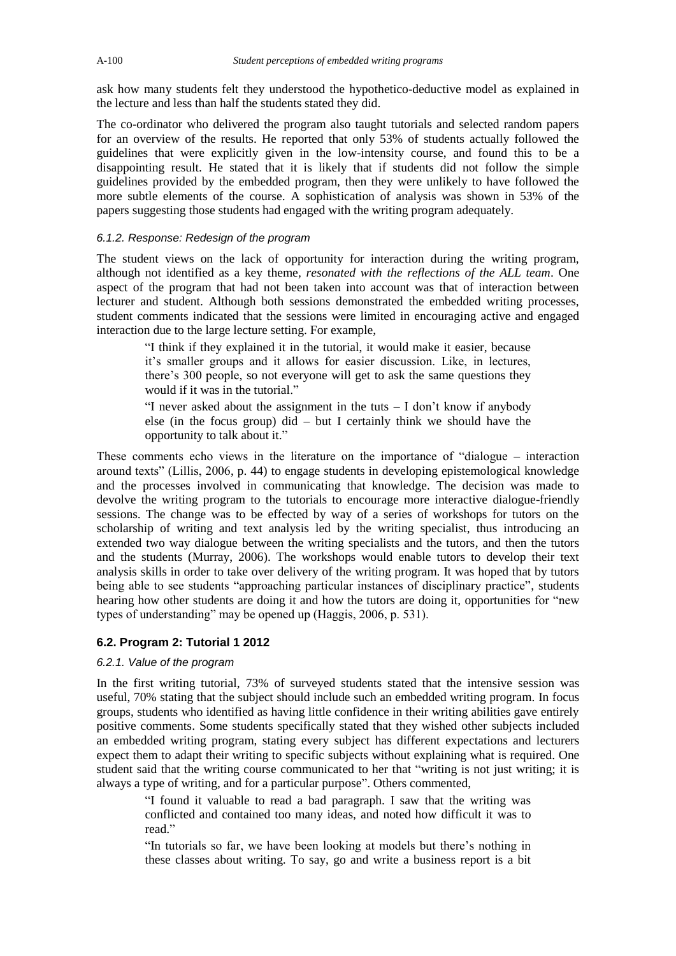ask how many students felt they understood the hypothetico-deductive model as explained in the lecture and less than half the students stated they did.

The co-ordinator who delivered the program also taught tutorials and selected random papers for an overview of the results. He reported that only 53% of students actually followed the guidelines that were explicitly given in the low-intensity course, and found this to be a disappointing result. He stated that it is likely that if students did not follow the simple guidelines provided by the embedded program, then they were unlikely to have followed the more subtle elements of the course. A sophistication of analysis was shown in 53% of the papers suggesting those students had engaged with the writing program adequately.

#### *6.1.2. Response: Redesign of the program*

The student views on the lack of opportunity for interaction during the writing program, although not identified as a key theme*, resonated with the reflections of the ALL team*. One aspect of the program that had not been taken into account was that of interaction between lecturer and student. Although both sessions demonstrated the embedded writing processes, student comments indicated that the sessions were limited in encouraging active and engaged interaction due to the large lecture setting. For example,

"I think if they explained it in the tutorial, it would make it easier, because it's smaller groups and it allows for easier discussion. Like, in lectures, there"s 300 people, so not everyone will get to ask the same questions they would if it was in the tutorial."

"I never asked about the assignment in the tuts  $- I$  don't know if anybody else (in the focus group) did – but I certainly think we should have the opportunity to talk about it."

These comments echo views in the literature on the importance of "dialogue – interaction around texts" (Lillis, 2006, p. 44) to engage students in developing epistemological knowledge and the processes involved in communicating that knowledge. The decision was made to devolve the writing program to the tutorials to encourage more interactive dialogue-friendly sessions. The change was to be effected by way of a series of workshops for tutors on the scholarship of writing and text analysis led by the writing specialist, thus introducing an extended two way dialogue between the writing specialists and the tutors, and then the tutors and the students (Murray, 2006). The workshops would enable tutors to develop their text analysis skills in order to take over delivery of the writing program. It was hoped that by tutors being able to see students "approaching particular instances of disciplinary practice", students hearing how other students are doing it and how the tutors are doing it, opportunities for "new types of understanding" may be opened up (Haggis, 2006, p. 531).

## **6.2. Program 2: Tutorial 1 2012**

#### *6.2.1. Value of the program*

In the first writing tutorial, 73% of surveyed students stated that the intensive session was useful, 70% stating that the subject should include such an embedded writing program. In focus groups, students who identified as having little confidence in their writing abilities gave entirely positive comments. Some students specifically stated that they wished other subjects included an embedded writing program, stating every subject has different expectations and lecturers expect them to adapt their writing to specific subjects without explaining what is required. One student said that the writing course communicated to her that "writing is not just writing; it is always a type of writing, and for a particular purpose". Others commented,

"I found it valuable to read a bad paragraph. I saw that the writing was conflicted and contained too many ideas, and noted how difficult it was to read."

"In tutorials so far, we have been looking at models but there"s nothing in these classes about writing. To say, go and write a business report is a bit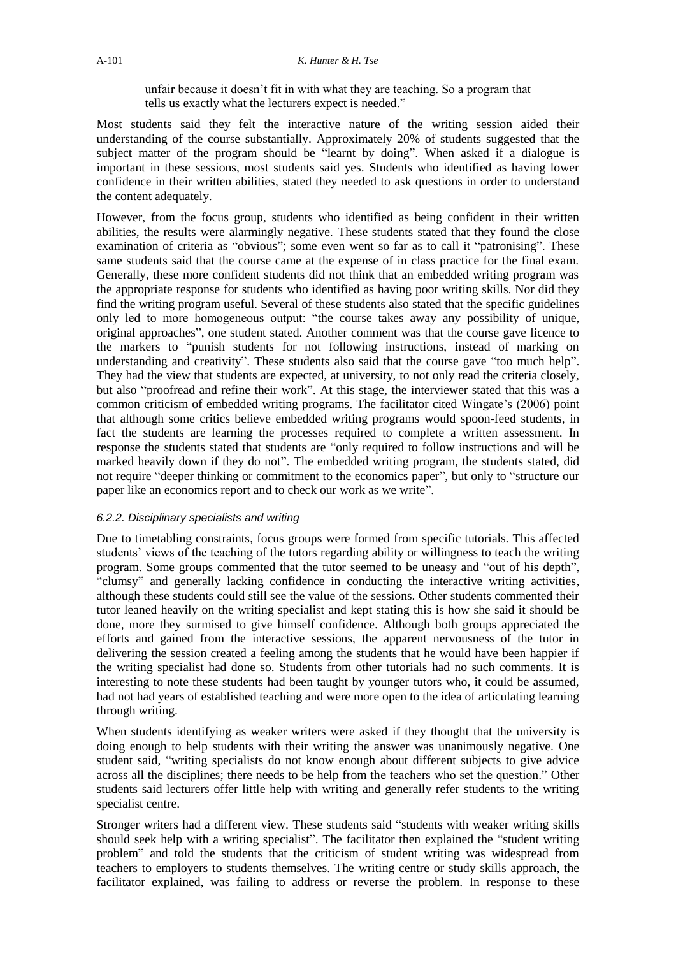unfair because it doesn"t fit in with what they are teaching. So a program that tells us exactly what the lecturers expect is needed."

Most students said they felt the interactive nature of the writing session aided their understanding of the course substantially. Approximately 20% of students suggested that the subject matter of the program should be "learnt by doing". When asked if a dialogue is important in these sessions, most students said yes. Students who identified as having lower confidence in their written abilities, stated they needed to ask questions in order to understand the content adequately.

However, from the focus group, students who identified as being confident in their written abilities, the results were alarmingly negative. These students stated that they found the close examination of criteria as "obvious"; some even went so far as to call it "patronising". These same students said that the course came at the expense of in class practice for the final exam. Generally, these more confident students did not think that an embedded writing program was the appropriate response for students who identified as having poor writing skills. Nor did they find the writing program useful. Several of these students also stated that the specific guidelines only led to more homogeneous output: "the course takes away any possibility of unique, original approaches", one student stated. Another comment was that the course gave licence to the markers to "punish students for not following instructions, instead of marking on understanding and creativity". These students also said that the course gave "too much help". They had the view that students are expected, at university, to not only read the criteria closely, but also "proofread and refine their work". At this stage, the interviewer stated that this was a common criticism of embedded writing programs. The facilitator cited Wingate's (2006) point that although some critics believe embedded writing programs would spoon-feed students, in fact the students are learning the processes required to complete a written assessment. In response the students stated that students are "only required to follow instructions and will be marked heavily down if they do not". The embedded writing program, the students stated, did not require "deeper thinking or commitment to the economics paper", but only to "structure our paper like an economics report and to check our work as we write".

#### *6.2.2. Disciplinary specialists and writing*

Due to timetabling constraints, focus groups were formed from specific tutorials. This affected students' views of the teaching of the tutors regarding ability or willingness to teach the writing program. Some groups commented that the tutor seemed to be uneasy and "out of his depth", "clumsy" and generally lacking confidence in conducting the interactive writing activities, although these students could still see the value of the sessions. Other students commented their tutor leaned heavily on the writing specialist and kept stating this is how she said it should be done, more they surmised to give himself confidence. Although both groups appreciated the efforts and gained from the interactive sessions, the apparent nervousness of the tutor in delivering the session created a feeling among the students that he would have been happier if the writing specialist had done so. Students from other tutorials had no such comments. It is interesting to note these students had been taught by younger tutors who, it could be assumed, had not had years of established teaching and were more open to the idea of articulating learning through writing.

When students identifying as weaker writers were asked if they thought that the university is doing enough to help students with their writing the answer was unanimously negative. One student said, "writing specialists do not know enough about different subjects to give advice across all the disciplines; there needs to be help from the teachers who set the question." Other students said lecturers offer little help with writing and generally refer students to the writing specialist centre.

Stronger writers had a different view. These students said "students with weaker writing skills should seek help with a writing specialist". The facilitator then explained the "student writing problem" and told the students that the criticism of student writing was widespread from teachers to employers to students themselves. The writing centre or study skills approach, the facilitator explained, was failing to address or reverse the problem. In response to these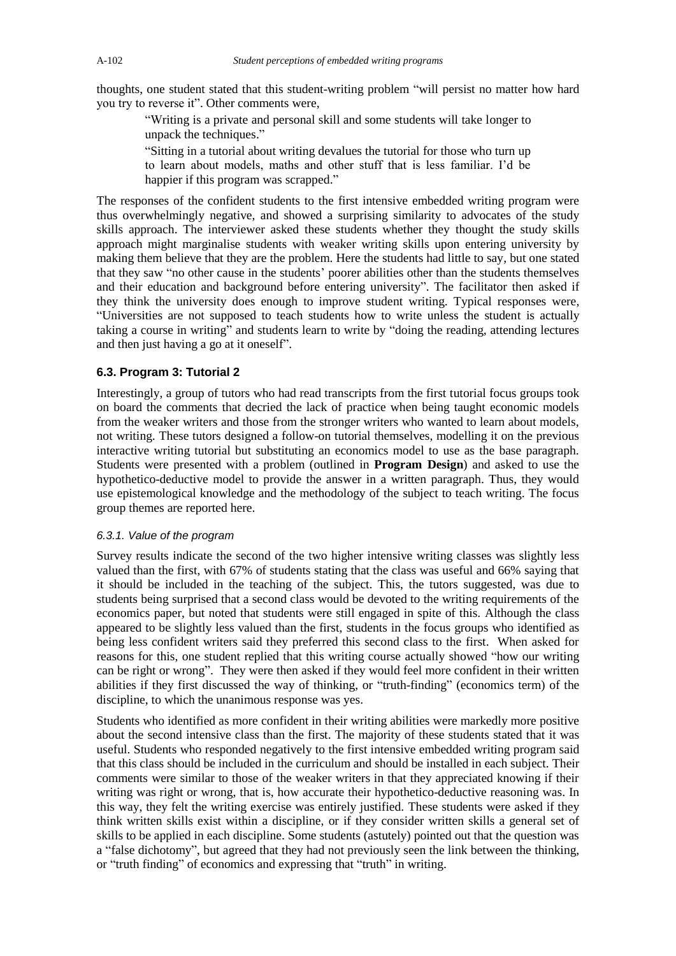thoughts, one student stated that this student-writing problem "will persist no matter how hard you try to reverse it". Other comments were,

"Writing is a private and personal skill and some students will take longer to unpack the techniques."

"Sitting in a tutorial about writing devalues the tutorial for those who turn up to learn about models, maths and other stuff that is less familiar. I"d be happier if this program was scrapped."

The responses of the confident students to the first intensive embedded writing program were thus overwhelmingly negative, and showed a surprising similarity to advocates of the study skills approach. The interviewer asked these students whether they thought the study skills approach might marginalise students with weaker writing skills upon entering university by making them believe that they are the problem. Here the students had little to say, but one stated that they saw "no other cause in the students" poorer abilities other than the students themselves and their education and background before entering university". The facilitator then asked if they think the university does enough to improve student writing. Typical responses were, "Universities are not supposed to teach students how to write unless the student is actually taking a course in writing" and students learn to write by "doing the reading, attending lectures and then just having a go at it oneself".

#### **6.3. Program 3: Tutorial 2**

Interestingly, a group of tutors who had read transcripts from the first tutorial focus groups took on board the comments that decried the lack of practice when being taught economic models from the weaker writers and those from the stronger writers who wanted to learn about models, not writing. These tutors designed a follow-on tutorial themselves, modelling it on the previous interactive writing tutorial but substituting an economics model to use as the base paragraph. Students were presented with a problem (outlined in **Program Design**) and asked to use the hypothetico-deductive model to provide the answer in a written paragraph. Thus, they would use epistemological knowledge and the methodology of the subject to teach writing. The focus group themes are reported here.

#### *6.3.1. Value of the program*

Survey results indicate the second of the two higher intensive writing classes was slightly less valued than the first, with 67% of students stating that the class was useful and 66% saying that it should be included in the teaching of the subject. This, the tutors suggested, was due to students being surprised that a second class would be devoted to the writing requirements of the economics paper, but noted that students were still engaged in spite of this. Although the class appeared to be slightly less valued than the first, students in the focus groups who identified as being less confident writers said they preferred this second class to the first. When asked for reasons for this, one student replied that this writing course actually showed "how our writing can be right or wrong". They were then asked if they would feel more confident in their written abilities if they first discussed the way of thinking, or "truth-finding" (economics term) of the discipline, to which the unanimous response was yes.

Students who identified as more confident in their writing abilities were markedly more positive about the second intensive class than the first. The majority of these students stated that it was useful. Students who responded negatively to the first intensive embedded writing program said that this class should be included in the curriculum and should be installed in each subject. Their comments were similar to those of the weaker writers in that they appreciated knowing if their writing was right or wrong, that is, how accurate their hypothetico-deductive reasoning was. In this way, they felt the writing exercise was entirely justified. These students were asked if they think written skills exist within a discipline, or if they consider written skills a general set of skills to be applied in each discipline. Some students (astutely) pointed out that the question was a "false dichotomy", but agreed that they had not previously seen the link between the thinking, or "truth finding" of economics and expressing that "truth" in writing.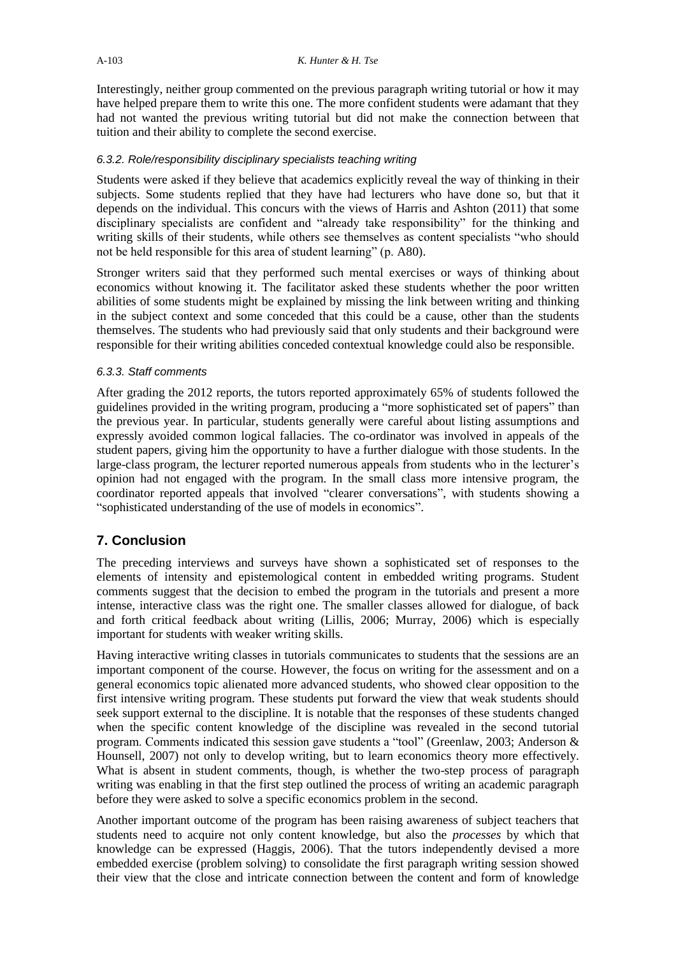Interestingly, neither group commented on the previous paragraph writing tutorial or how it may have helped prepare them to write this one. The more confident students were adamant that they had not wanted the previous writing tutorial but did not make the connection between that tuition and their ability to complete the second exercise.

## *6.3.2. Role/responsibility disciplinary specialists teaching writing*

Students were asked if they believe that academics explicitly reveal the way of thinking in their subjects. Some students replied that they have had lecturers who have done so, but that it depends on the individual. This concurs with the views of Harris and Ashton (2011) that some disciplinary specialists are confident and "already take responsibility" for the thinking and writing skills of their students, while others see themselves as content specialists "who should not be held responsible for this area of student learning" (p. A80).

Stronger writers said that they performed such mental exercises or ways of thinking about economics without knowing it. The facilitator asked these students whether the poor written abilities of some students might be explained by missing the link between writing and thinking in the subject context and some conceded that this could be a cause, other than the students themselves. The students who had previously said that only students and their background were responsible for their writing abilities conceded contextual knowledge could also be responsible.

## *6.3.3. Staff comments*

After grading the 2012 reports, the tutors reported approximately 65% of students followed the guidelines provided in the writing program, producing a "more sophisticated set of papers" than the previous year. In particular, students generally were careful about listing assumptions and expressly avoided common logical fallacies. The co-ordinator was involved in appeals of the student papers, giving him the opportunity to have a further dialogue with those students. In the large-class program, the lecturer reported numerous appeals from students who in the lecturer's opinion had not engaged with the program. In the small class more intensive program, the coordinator reported appeals that involved "clearer conversations", with students showing a "sophisticated understanding of the use of models in economics".

# **7. Conclusion**

The preceding interviews and surveys have shown a sophisticated set of responses to the elements of intensity and epistemological content in embedded writing programs. Student comments suggest that the decision to embed the program in the tutorials and present a more intense, interactive class was the right one. The smaller classes allowed for dialogue, of back and forth critical feedback about writing (Lillis, 2006; Murray, 2006) which is especially important for students with weaker writing skills.

Having interactive writing classes in tutorials communicates to students that the sessions are an important component of the course. However, the focus on writing for the assessment and on a general economics topic alienated more advanced students, who showed clear opposition to the first intensive writing program. These students put forward the view that weak students should seek support external to the discipline. It is notable that the responses of these students changed when the specific content knowledge of the discipline was revealed in the second tutorial program. Comments indicated this session gave students a "tool" (Greenlaw, 2003; Anderson & Hounsell, 2007) not only to develop writing, but to learn economics theory more effectively. What is absent in student comments, though, is whether the two-step process of paragraph writing was enabling in that the first step outlined the process of writing an academic paragraph before they were asked to solve a specific economics problem in the second.

Another important outcome of the program has been raising awareness of subject teachers that students need to acquire not only content knowledge, but also the *processes* by which that knowledge can be expressed (Haggis, 2006). That the tutors independently devised a more embedded exercise (problem solving) to consolidate the first paragraph writing session showed their view that the close and intricate connection between the content and form of knowledge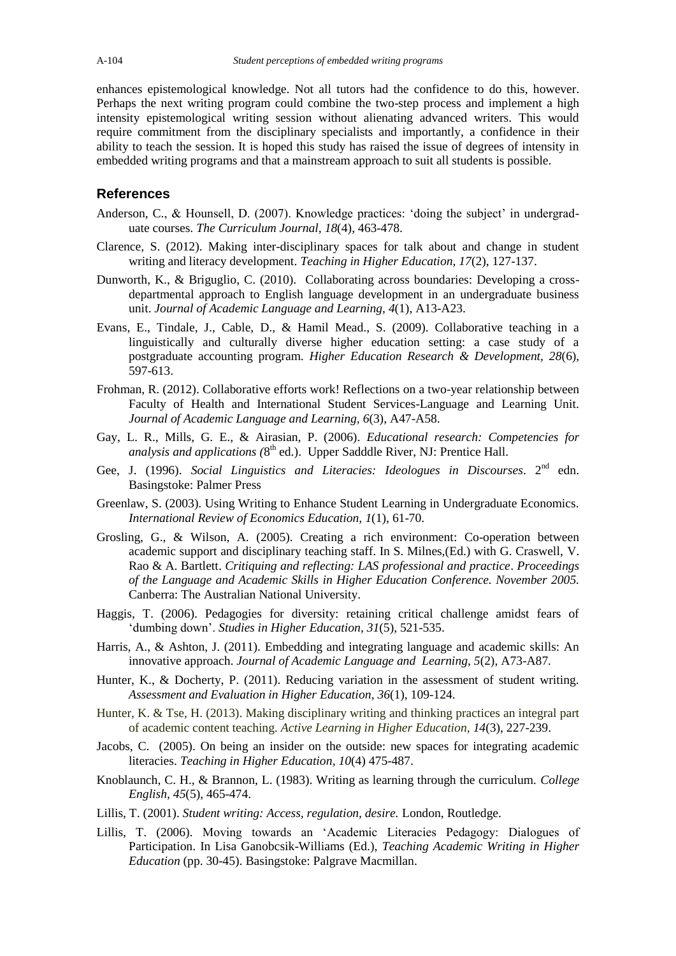enhances epistemological knowledge. Not all tutors had the confidence to do this, however. Perhaps the next writing program could combine the two-step process and implement a high intensity epistemological writing session without alienating advanced writers. This would require commitment from the disciplinary specialists and importantly, a confidence in their ability to teach the session. It is hoped this study has raised the issue of degrees of intensity in embedded writing programs and that a mainstream approach to suit all students is possible.

## **References**

- Anderson, C., & Hounsell, D. (2007). Knowledge practices: "doing the subject" in undergraduate courses. *The Curriculum Journal, 18*(4), 463-478.
- Clarence, S. (2012). Making inter-disciplinary spaces for talk about and change in student writing and literacy development. *Teaching in Higher Education, 17*(2), 127-137.
- Dunworth, K., & Briguglio, C. (2010). Collaborating across boundaries: Developing a crossdepartmental approach to English language development in an undergraduate business unit. *Journal of Academic Language and Learning, 4*(1), A13-A23.
- Evans, E., Tindale, J., Cable, D., & Hamil Mead., S. (2009). Collaborative teaching in a linguistically and culturally diverse higher education setting: a case study of a postgraduate accounting program. *Higher Education Research & Development, 28*(6), 597-613.
- Frohman, R. (2012). Collaborative efforts work! Reflections on a two-year relationship between Faculty of Health and International Student Services-Language and Learning Unit. *Journal of Academic Language and Learning, 6*(3), A47-A58.
- Gay, L. R., Mills, G. E., & Airasian, P. (2006). *Educational research: Competencies for analysis and applications (*8 th ed.). Upper Sadddle River, NJ: Prentice Hall.
- Gee, J. (1996). *Social Linguistics and Literacies: Ideologues in Discourses*. 2<sup>nd</sup> edn. Basingstoke: Palmer Press
- Greenlaw, S. (2003). Using Writing to Enhance Student Learning in Undergraduate Economics. *International Review of Economics Education, 1*(1), 61-70.
- Grosling, G., & Wilson, A. (2005). Creating a rich environment: Co-operation between academic support and disciplinary teaching staff. In S. Milnes,(Ed.) with G. Craswell, V. Rao & A. Bartlett. *Critiquing and reflecting: LAS professional and practice*. *Proceedings of the Language and Academic Skills in Higher Education Conference. November 2005.*  Canberra: The Australian National University.
- Haggis, T. (2006). Pedagogies for diversity: retaining critical challenge amidst fears of "dumbing down". *Studies in Higher Education*, *31*(5)*,* 521-535.
- Harris, A., & Ashton, J. (2011). Embedding and integrating language and academic skills: An innovative approach. *Journal of Academic Language and Learning, 5*(2), A73-A87*.*
- Hunter, K., & Docherty, P. (2011). Reducing variation in the assessment of student writing. *Assessment and Evaluation in Higher Education*, *36*(1), 109-124.
- Hunter, K. & Tse, H. (2013). Making disciplinary writing and thinking practices an integral part of academic content teaching. *Active Learning in Higher Education, 14*(3), 227-239.
- Jacobs, C. (2005). On being an insider on the outside: new spaces for integrating academic literacies. *Teaching in Higher Education, 10*(4) 475-487.
- Knoblaunch, C. H., & Brannon, L. (1983). Writing as learning through the curriculum. *College English, 45*(5), 465-474.
- Lillis, T. (2001). *Student writing: Access, regulation, desire.* London, Routledge.
- Lillis, T. (2006). Moving towards an "Academic Literacies Pedagogy: Dialogues of Participation. In Lisa Ganobcsik-Williams (Ed.), *Teaching Academic Writing in Higher Education* (pp. 30-45). Basingstoke: Palgrave Macmillan.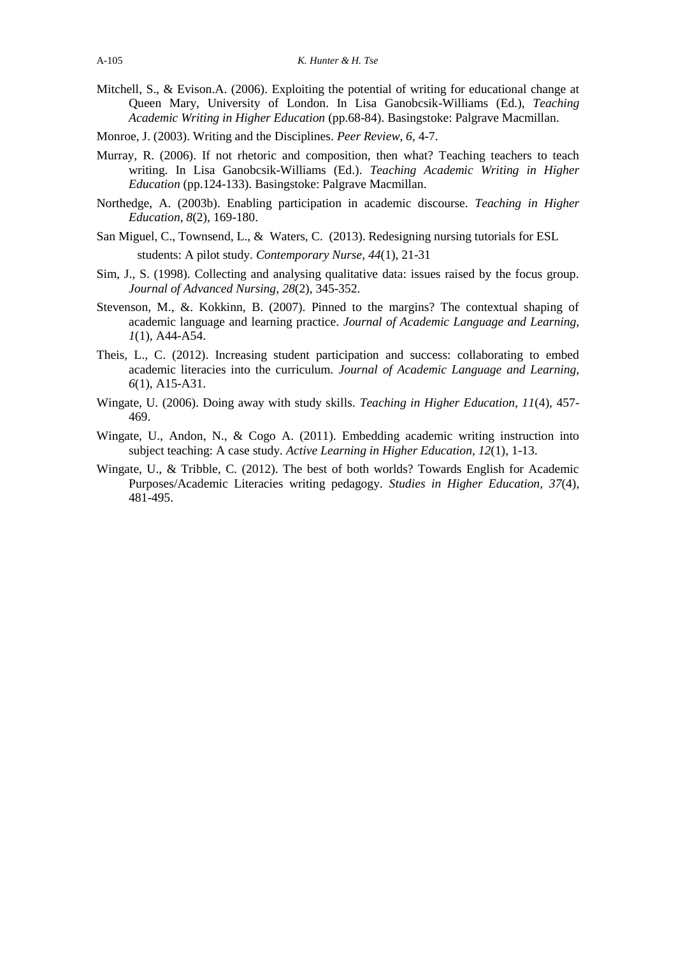- Mitchell, S., & Evison.A. (2006). Exploiting the potential of writing for educational change at Queen Mary, University of London. In Lisa Ganobcsik-Williams (Ed.), *Teaching Academic Writing in Higher Education* (pp.68-84). Basingstoke: Palgrave Macmillan.
- Monroe, J. (2003). Writing and the Disciplines. *Peer Review*, *6*, 4-7.
- Murray, R. (2006). If not rhetoric and composition, then what? Teaching teachers to teach writing. In Lisa Ganobcsik-Williams (Ed.). *Teaching Academic Writing in Higher Education* (pp.124-133). Basingstoke: Palgrave Macmillan.
- Northedge, A. (2003b). Enabling participation in academic discourse. *Teaching in Higher Education, 8*(2)*,* 169-180.
- San Miguel, C., Townsend, L., & Waters, C. (2013). Redesigning nursing tutorials for ESL students: A pilot study. *Contemporary Nurse*, *44*(1), 21-31
- Sim, J., S. (1998). Collecting and analysing qualitative data: issues raised by the focus group. *Journal of Advanced Nursing, 28*(2), 345-352.
- Stevenson, M., &. Kokkinn, B. (2007). Pinned to the margins? The contextual shaping of academic language and learning practice. *Journal of Academic Language and Learning, 1*(1)*,* A44-A54.
- Theis, L., C. (2012). Increasing student participation and success: collaborating to embed academic literacies into the curriculum. *Journal of Academic Language and Learning, 6*(1), A15-A31.
- Wingate, U. (2006). Doing away with study skills. *Teaching in Higher Education, 11*(4)*,* 457- 469.
- Wingate, U., Andon, N., & Cogo A. (2011). Embedding academic writing instruction into subject teaching: A case study. *Active Learning in Higher Education, 12*(1), 1-13.
- Wingate, U., & Tribble, C. (2012). The best of both worlds? Towards English for Academic Purposes/Academic Literacies writing pedagogy. *Studies in Higher Education, 37*(4), 481-495.